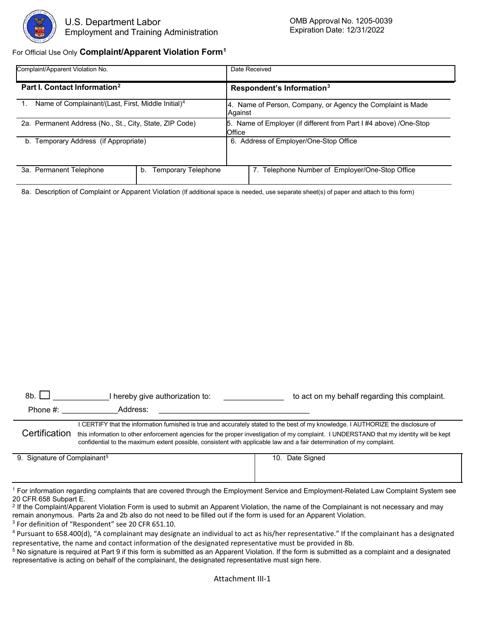

## For Official Use Only **Complaint/Apparent Violation Form1**

| Complaint/Apparent Violation No.                               |                                  | Date Received                                                               |  |  |  |
|----------------------------------------------------------------|----------------------------------|-----------------------------------------------------------------------------|--|--|--|
| Part I. Contact Information <sup>2</sup>                       |                                  | Respondent's Information <sup>3</sup>                                       |  |  |  |
| Name of Complainant/(Last, First, Middle Initial) <sup>4</sup> |                                  | 4. Name of Person, Company, or Agency the Complaint is Made<br>Against      |  |  |  |
| 2a. Permanent Address (No., St., City, State, ZIP Code)        |                                  | 5. Name of Employer (if different from Part I #4 above) /One-Stop<br>Office |  |  |  |
| b. Temporary Address (if Appropriate)                          |                                  | Address of Employer/One-Stop Office<br>6.                                   |  |  |  |
| 3a. Permanent Telephone                                        | <b>Temporary Telephone</b><br>b. | Telephone Number of Employer/One-Stop Office                                |  |  |  |

8a. Description of Complaint or Apparent Violation (If additional space is needed, use separate sheet(s) of paper and attach to this form)

| 8b.<br>I hereby give authorization to:   |                                                                                                                                                                                                                                                                  | to act on my behalf regarding this complaint. |  |  |  |
|------------------------------------------|------------------------------------------------------------------------------------------------------------------------------------------------------------------------------------------------------------------------------------------------------------------|-----------------------------------------------|--|--|--|
| Phone $#$ :                              | Address:                                                                                                                                                                                                                                                         |                                               |  |  |  |
|                                          | I CERTIFY that the information furnished is true and accurately stated to the best of my knowledge. I AUTHORIZE the disclosure of                                                                                                                                |                                               |  |  |  |
| Certification                            | this information to other enforcement agencies for the proper investigation of my complaint. I UNDERSTAND that my identity will be kept<br>confidential to the maximum extent possible, consistent with applicable law and a fair determination of my complaint. |                                               |  |  |  |
| 9. Signature of Complainant <sup>5</sup> |                                                                                                                                                                                                                                                                  | 10. Date Signed                               |  |  |  |

<sup>1</sup> For information regarding complaints that are covered through the Employment Service and Employment-Related Law Complaint System see<br>20 CFR 658 Subpart E.

 $2$  If the Complaint/Apparent Violation Form is used to submit an Apparent Violation, the name of the Complainant is not necessary and may remain anonymous. Parts 2a and 2b also do not need to be filled out if the form is used for an Apparent Violation.

 $3$  For definition of "Respondent" see 20 CFR 651.10.<br>4 Pursuant to 658.400(d), "A complainant may designate an individual to act as his/her representative." If the complainant has a designated representative, the name and contact information of the designated representative must be provided in 8b.

5 No signature is required at Part 9 if this form is submitted as an Apparent Violation. If the form is submitted as a complaint and a designated representative is acting on behalf of the complainant, the designated representative must sign here.